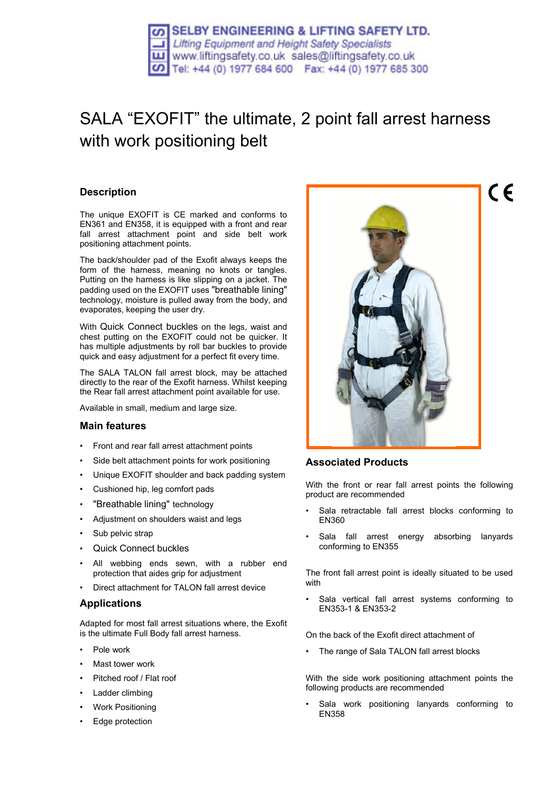# **SELBY ENGINEERING & LIFTING SAFETY LTD. Lifting Equipment and Height Safety Specialists** www.liftingsafety.co.uk sales@liftingsafety.co.uk Tel: +44 (0) 1977 684 600 Fax: +44 (0) 1977 685 300

# SALA "EXOFIT" the ultimate, 2 point fall arrest harness with work positioning belt

## **Description**

The unique EXOFIT is CE marked and conforms to EN361 and EN358, it is equipped with a front and rear fall arrest attachment point and side belt work positioning attachment points.

The back/shoulder pad of the Exofit always keeps the form of the harness, meaning no knots or tangles. Putting on the harness is like slipping on a jacket. The padding used on the EXOFIT uses "breathable lining" technology, moisture is pulled away from the body, and evaporates, keeping the user dry.

With Quick Connect buckles on the legs, waist and chest putting on the EXOFIT could not be quicker. It has multiple adjustments by roll bar buckles to provide quick and easy adjustment for a perfect fit every time.

The SALA TALON fall arrest block, may be attached directly to the rear of the Exofit harness. Whilst keeping the Rear fall arrest attachment point available for use.

Available in small, medium and large size.

#### **Main features**

- Front and rear fall arrest attachment points
- Side belt attachment points for work positioning
- Unique EXOFIT shoulder and back padding system
- Cushioned hip, leg comfort pads
- "Breathable lining" technology
- Adjustment on shoulders waist and legs
- Sub pelvic strap
- Quick Connect buckles
- All webbing ends sewn, with a rubber end protection that aides grip for adjustment
- Direct attachment for TALON fall arrest device

### **Applications**

Adapted for most fall arrest situations where, the Exofit is the ultimate Full Body fall arrest harness.

- Pole work
- Mast tower work
- Pitched roof / Flat roof
- Ladder climbing
- Work Positioning
- Edge protection



#### **Associated Products**

With the front or rear fall arrest points the following product are recommended

- Sala retractable fall arrest blocks conforming to EN360
- Sala fall arrest energy absorbing lanyards conforming to EN355

The front fall arrest point is ideally situated to be used with

Sala vertical fall arrest systems conforming to EN353-1 & EN353-2

On the back of the Exofit direct attachment of

The range of Sala TALON fall arrest blocks

With the side work positioning attachment points the following products are recommended

Sala work positioning lanyards conforming to EN358